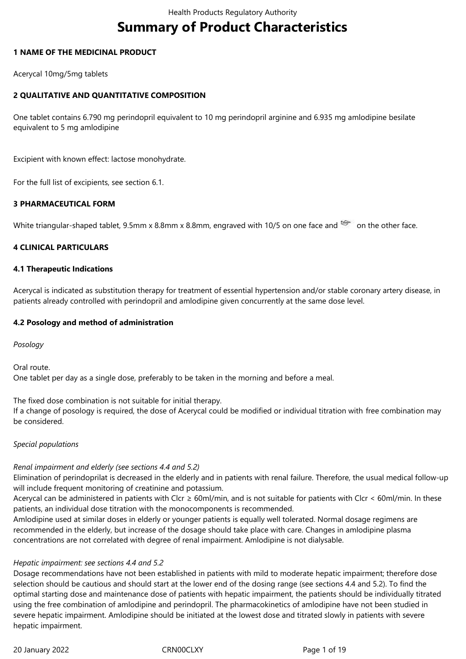# **Summary of Product Characteristics**

# **1 NAME OF THE MEDICINAL PRODUCT**

Acerycal 10mg/5mg tablets

# **2 QUALITATIVE AND QUANTITATIVE COMPOSITION**

One tablet contains 6.790 mg perindopril equivalent to 10 mg perindopril arginine and 6.935 mg amlodipine besilate equivalent to 5 mg amlodipine

Excipient with known effect: lactose monohydrate.

For the full list of excipients, see section 6.1.

# **3 PHARMACEUTICAL FORM**

White triangular-shaped tablet, 9.5mm x 8.8mm x 8.8mm, engraved with 10/5 on one face and  $\approx$  on the other face.

# **4 CLINICAL PARTICULARS**

# **4.1 Therapeutic Indications**

Acerycal is indicated as substitution therapy for treatment of essential hypertension and/or stable coronary artery disease, in patients already controlled with perindopril and amlodipine given concurrently at the same dose level.

# **4.2 Posology and method of administration**

*Posology*

Oral route. One tablet per day as a single dose, preferably to be taken in the morning and before a meal.

The fixed dose combination is not suitable for initial therapy.

If a change of posology is required, the dose of Acerycal could be modified or individual titration with free combination may be considered.

# *Special populations*

# *Renal impairment and elderly (see sections 4.4 and 5.2)*

Elimination of perindoprilat is decreased in the elderly and in patients with renal failure. Therefore, the usual medical follow-up will include frequent monitoring of creatinine and potassium.

Acerycal can be administered in patients with Clcr  $\geq$  60ml/min, and is not suitable for patients with Clcr < 60ml/min. In these patients, an individual dose titration with the monocomponents is recommended.

Amlodipine used at similar doses in elderly or younger patients is equally well tolerated. Normal dosage regimens are recommended in the elderly, but increase of the dosage should take place with care. Changes in amlodipine plasma concentrations are not correlated with degree of renal impairment. Amlodipine is not dialysable.

#### *Hepatic impairment: see sections 4.4 and 5.2*

Dosage recommendations have not been established in patients with mild to moderate hepatic impairment; therefore dose selection should be cautious and should start at the lower end of the dosing range (see sections 4.4 and 5.2). To find the optimal starting dose and maintenance dose of patients with hepatic impairment, the patients should be individually titrated using the free combination of amlodipine and perindopril. The pharmacokinetics of amlodipine have not been studied in severe hepatic impairment. Amlodipine should be initiated at the lowest dose and titrated slowly in patients with severe hepatic impairment.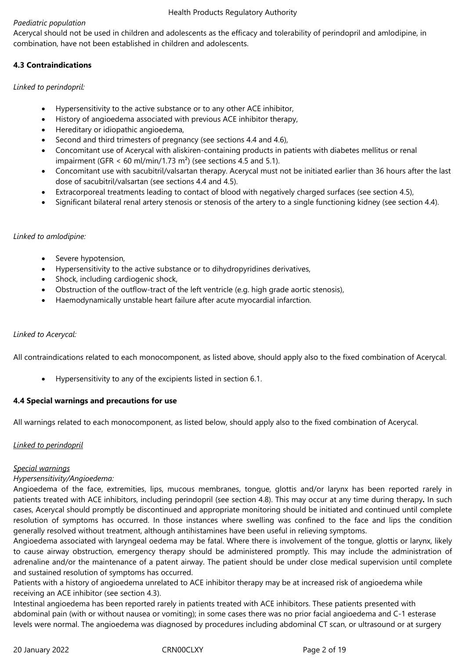# *Paediatric population*

Acerycal should not be used in children and adolescents as the efficacy and tolerability of perindopril and amlodipine, in combination, have not been established in children and adolescents.

# **4.3 Contraindications**

*Linked to perindopril:*

- Hypersensitivity to the active substance or to any other ACE inhibitor,
- History of angioedema associated with previous ACE inhibitor therapy,
- Hereditary or idiopathic angioedema,
- Second and third trimesters of pregnancy (see sections 4.4 and 4.6),
- Concomitant use of Acerycal with aliskiren-containing products in patients with diabetes mellitus or renal impairment (GFR  $\lt$  60 ml/min/1.73 m<sup>2</sup>) (see sections 4.5 and 5.1).
- Concomitant use with sacubitril/valsartan therapy. Acerycal must not be initiated earlier than 36 hours after the last dose of sacubitril/valsartan (see sections 4.4 and 4.5).
- Extracorporeal treatments leading to contact of blood with negatively charged surfaces (see section 4.5),
- Significant bilateral renal artery stenosis or stenosis of the artery to a single functioning kidney (see section 4.4).

# *Linked to amlodipine:*

- Severe hypotension,
- Hypersensitivity to the active substance or to dihydropyridines derivatives,
- Shock, including cardiogenic shock,
- Obstruction of the outflow-tract of the left ventricle (e.g. high grade aortic stenosis),
- Haemodynamically unstable heart failure after acute myocardial infarction.

# *Linked to Acerycal:*

All contraindications related to each monocomponent, as listed above, should apply also to the fixed combination of Acerycal.

Hypersensitivity to any of the excipients listed in section 6.1.

# **4.4 Special warnings and precautions for use**

All warnings related to each monocomponent, as listed below, should apply also to the fixed combination of Acerycal.

#### *Linked to perindopril*

# *Special warnings*

# *Hypersensitivity/Angioedema:*

Angioedema of the face, extremities, lips, mucous membranes, tongue, glottis and/or larynx has been reported rarely in patients treated with ACE inhibitors, including perindopril (see section 4.8). This may occur at any time during therapy*.* In such cases, Acerycal should promptly be discontinued and appropriate monitoring should be initiated and continued until complete resolution of symptoms has occurred. In those instances where swelling was confined to the face and lips the condition generally resolved without treatment, although antihistamines have been useful in relieving symptoms.

Angioedema associated with laryngeal oedema may be fatal. Where there is involvement of the tongue, glottis or larynx, likely to cause airway obstruction, emergency therapy should be administered promptly. This may include the administration of adrenaline and/or the maintenance of a patent airway. The patient should be under close medical supervision until complete and sustained resolution of symptoms has occurred.

Patients with a history of angioedema unrelated to ACE inhibitor therapy may be at increased risk of angioedema while receiving an ACE inhibitor (see section 4.3).

Intestinal angioedema has been reported rarely in patients treated with ACE inhibitors. These patients presented with abdominal pain (with or without nausea or vomiting); in some cases there was no prior facial angioedema and C-1 esterase levels were normal. The angioedema was diagnosed by procedures including abdominal CT scan, or ultrasound or at surgery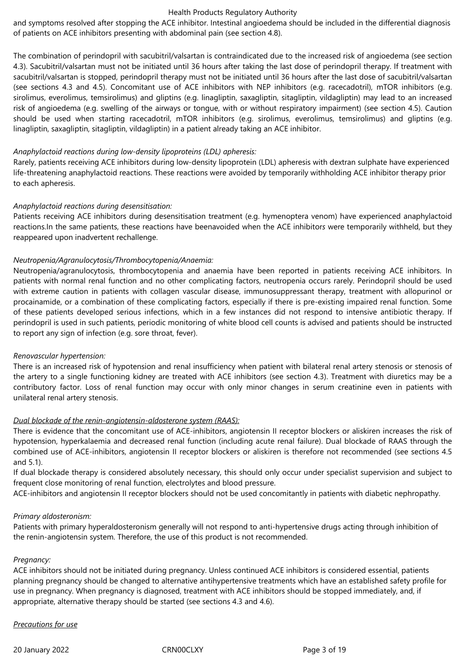and symptoms resolved after stopping the ACE inhibitor. Intestinal angioedema should be included in the differential diagnosis of patients on ACE inhibitors presenting with abdominal pain (see section 4.8).

The combination of perindopril with sacubitril/valsartan is contraindicated due to the increased risk of angioedema (see section 4.3). Sacubitril/valsartan must not be initiated until 36 hours after taking the last dose of perindopril therapy. If treatment with sacubitril/valsartan is stopped, perindopril therapy must not be initiated until 36 hours after the last dose of sacubitril/valsartan (see sections 4.3 and 4.5). Concomitant use of ACE inhibitors with NEP inhibitors (e.g. racecadotril), mTOR inhibitors (e.g. sirolimus, everolimus, temsirolimus) and gliptins (e.g. linagliptin, saxagliptin, sitagliptin, vildagliptin) may lead to an increased risk of angioedema (e.g. swelling of the airways or tongue, with or without respiratory impairment) (see section 4.5). Caution should be used when starting racecadotril, mTOR inhibitors (e.g. sirolimus, everolimus, temsirolimus) and gliptins (e.g. linagliptin, saxagliptin, sitagliptin, vildagliptin) in a patient already taking an ACE inhibitor.

#### *Anaphylactoid reactions during low-density lipoproteins (LDL) apheresis:*

Rarely, patients receiving ACE inhibitors during low-density lipoprotein (LDL) apheresis with dextran sulphate have experienced life-threatening anaphylactoid reactions. These reactions were avoided by temporarily withholding ACE inhibitor therapy prior to each apheresis.

# *Anaphylactoid reactions during desensitisation:*

Patients receiving ACE inhibitors during desensitisation treatment (e.g. hymenoptera venom) have experienced anaphylactoid reactions.In the same patients, these reactions have beenavoided when the ACE inhibitor*s* were temporarily withheld, but they reappeared upon inadvertent rechallenge.

# *Neutropenia/Agranulocytosis/Thrombocytopenia/Anaemia:*

Neutropenia/agranulocytosis, thrombocytopenia and anaemia have been reported in patients receiving ACE inhibitors. In patients with normal renal function and no other complicating factors, neutropenia occurs rarely. Perindopril should be used with extreme caution in patients with collagen vascular disease, immunosuppressant therapy, treatment with allopurinol or procainamide, or a combination of these complicating factors, especially if there is pre-existing impaired renal function. Some of these patients developed serious infections, which in a few instances did not respond to intensive antibiotic therapy. If perindopril is used in such patients, periodic monitoring of white blood cell counts is advised and patients should be instructed to report any sign of infection (e.g. sore throat, fever).

#### *Renovascular hypertension:*

There is an increased risk of hypotension and renal insufficiency when patient with bilateral renal artery stenosis or stenosis of the artery to a single functioning kidney are treated with ACE inhibitors (see section 4.3). Treatment with diuretics may be a contributory factor. Loss of renal function may occur with only minor changes in serum creatinine even in patients with unilateral renal artery stenosis.

#### *Dual blockade of the renin-angiotensin-aldosterone system (RAAS):*

There is evidence that the concomitant use of ACE-inhibitors, angiotensin II receptor blockers or aliskiren increases the risk of hypotension, hyperkalaemia and decreased renal function (including acute renal failure). Dual blockade of RAAS through the combined use of ACE-inhibitors, angiotensin II receptor blockers or aliskiren is therefore not recommended (see sections 4.5 and 5.1).

If dual blockade therapy is considered absolutely necessary, this should only occur under specialist supervision and subject to frequent close monitoring of renal function, electrolytes and blood pressure.

ACE-inhibitors and angiotensin II receptor blockers should not be used concomitantly in patients with diabetic nephropathy.

#### *Primary aldosteronism:*

Patients with primary hyperaldosteronism generally will not respond to anti-hypertensive drugs acting through inhibition of the renin-angiotensin system. Therefore, the use of this product is not recommended.

#### *Pregnancy:*

ACE inhibitors should not be initiated during pregnancy. Unless continued ACE inhibitors is considered essential, patients planning pregnancy should be changed to alternative antihypertensive treatments which have an established safety profile for use in pregnancy. When pregnancy is diagnosed, treatment with ACE inhibitors should be stopped immediately, and, if appropriate, alternative therapy should be started (see sections 4.3 and 4.6).

#### *Precautions for use*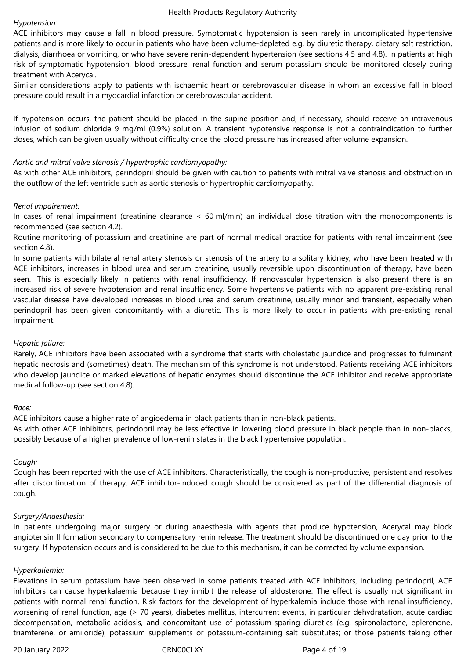#### *Hypotension:*

ACE inhibitors may cause a fall in blood pressure. Symptomatic hypotension is seen rarely in uncomplicated hypertensive patients and is more likely to occur in patients who have been volume-depleted e.g. by diuretic therapy, dietary salt restriction, dialysis, diarrhoea or vomiting, or who have severe renin-dependent hypertension (see sections 4.5 and 4.8). In patients at high risk of symptomatic hypotension, blood pressure, renal function and serum potassium should be monitored closely during treatment with Acerycal.

Similar considerations apply to patients with ischaemic heart or cerebrovascular disease in whom an excessive fall in blood pressure could result in a myocardial infarction or cerebrovascular accident.

If hypotension occurs, the patient should be placed in the supine position and, if necessary, should receive an intravenous infusion of sodium chloride 9 mg/ml (0.9%) solution. A transient hypotensive response is not a contraindication to further doses, which can be given usually without difficulty once the blood pressure has increased after volume expansion.

# *Aortic and mitral valve stenosis / hypertrophic cardiomyopathy:*

As with other ACE inhibitors, perindopril should be given with caution to patients with mitral valve stenosis and obstruction in the outflow of the left ventricle such as aortic stenosis or hypertrophic cardiomyopathy.

# *Renal impairement:*

In cases of renal impairment (creatinine clearance < 60 ml/min) an individual dose titration with the monocomponents is recommended (see section 4.2).

Routine monitoring of potassium and creatinine are part of normal medical practice for patients with renal impairment (see section 4.8).

In some patients with bilateral renal artery stenosis or stenosis of the artery to a solitary kidney, who have been treated with ACE inhibitors, increases in blood urea and serum creatinine, usually reversible upon discontinuation of therapy, have been seen. This is especially likely in patients with renal insufficiency. If renovascular hypertension is also present there is an increased risk of severe hypotension and renal insufficiency. Some hypertensive patients with no apparent pre-existing renal vascular disease have developed increases in blood urea and serum creatinine, usually minor and transient, especially when perindopril has been given concomitantly with a diuretic. This is more likely to occur in patients with pre-existing renal impairment.

# *Hepatic failure:*

Rarely, ACE inhibitors have been associated with a syndrome that starts with cholestatic jaundice and progresses to fulminant hepatic necrosis and (sometimes) death. The mechanism of this syndrome is not understood. Patients receiving ACE inhibitors who develop jaundice or marked elevations of hepatic enzymes should discontinue the ACE inhibitor and receive appropriate medical follow-up (see section 4.8).

#### *Race:*

ACE inhibitors cause a higher rate of angioedema in black patients than in non-black patients.

As with other ACE inhibitors, perindopril may be less effective in lowering blood pressure in black people than in non-blacks, possibly because of a higher prevalence of low-renin states in the black hypertensive population.

#### *Cough:*

Cough has been reported with the use of ACE inhibitors. Characteristically, the cough is non-productive, persistent and resolves after discontinuation of therapy. ACE inhibitor-induced cough should be considered as part of the differential diagnosis of cough.

#### *Surgery/Anaesthesia:*

In patients undergoing major surgery or during anaesthesia with agents that produce hypotension, Acerycal may block angiotensin II formation secondary to compensatory renin release. The treatment should be discontinued one day prior to the surgery. If hypotension occurs and is considered to be due to this mechanism, it can be corrected by volume expansion.

#### *Hyperkaliemia:*

Elevations in serum potassium have been observed in some patients treated with ACE inhibitors, including perindopril, ACE inhibitors can cause hyperkalaemia because they inhibit the release of aldosterone. The effect is usually not significant in patients with normal renal function. Risk factors for the development of hyperkalemia include those with renal insufficiency, worsening of renal function, age (> 70 years), diabetes mellitus, intercurrent events, in particular dehydratation, acute cardiac decompensation, metabolic acidosis, and concomitant use of potassium-sparing diuretics (e.g. spironolactone, eplerenone, triamterene, or amiloride), potassium supplements or potassium-containing salt substitutes; or those patients taking other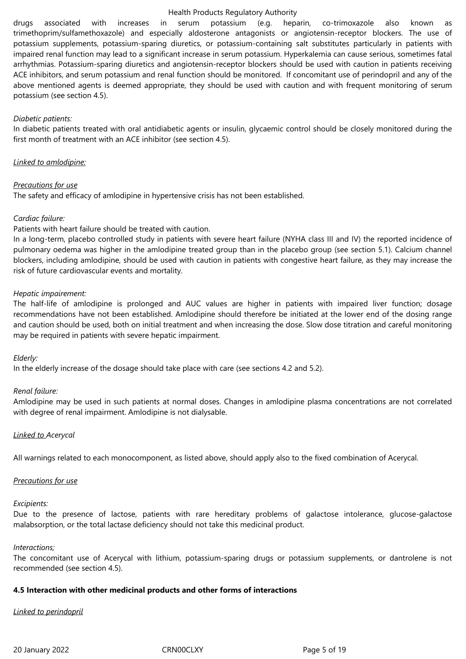drugs associated with increases in serum potassium (e.g. heparin, co-trimoxazole also known as trimethoprim/sulfamethoxazole) and especially aldosterone antagonists or angiotensin-receptor blockers. The use of potassium supplements, potassium-sparing diuretics, or potassium-containing salt substitutes particularly in patients with impaired renal function may lead to a significant increase in serum potassium. Hyperkalemia can cause serious, sometimes fatal arrhythmias. Potassium-sparing diuretics and angiotensin-receptor blockers should be used with caution in patients receiving ACE inhibitors, and serum potassium and renal function should be monitored. If concomitant use of perindopril and any of the above mentioned agents is deemed appropriate, they should be used with caution and with frequent monitoring of serum potassium (see section 4.5).

#### *Diabetic patients:*

In diabetic patients treated with oral antidiabetic agents or insulin, glycaemic control should be closely monitored during the first month of treatment with an ACE inhibitor (see section 4.5).

#### *Linked to amlodipine:*

#### *Precautions for use*

The safety and efficacy of amlodipine in hypertensive crisis has not been established.

#### *Cardiac failure:*

Patients with heart failure should be treated with caution.

In a long-term, placebo controlled study in patients with severe heart failure (NYHA class III and IV) the reported incidence of pulmonary oedema was higher in the amlodipine treated group than in the placebo group (see section 5.1). Calcium channel blockers, including amlodipine, should be used with caution in patients with congestive heart failure, as they may increase the risk of future cardiovascular events and mortality.

#### *Hepatic impairement:*

The half-life of amlodipine is prolonged and AUC values are higher in patients with impaired liver function; dosage recommendations have not been established. Amlodipine should therefore be initiated at the lower end of the dosing range and caution should be used, both on initial treatment and when increasing the dose. Slow dose titration and careful monitoring may be required in patients with severe hepatic impairment.

#### *Elderly:*

In the elderly increase of the dosage should take place with care (see sections 4.2 and 5.2).

#### *Renal failure:*

Amlodipine may be used in such patients at normal doses. Changes in amlodipine plasma concentrations are not correlated with degree of renal impairment. Amlodipine is not dialysable.

#### *Linked to Acerycal*

All warnings related to each monocomponent, as listed above, should apply also to the fixed combination of Acerycal.

#### *Precautions for use*

#### *Excipients:*

Due to the presence of lactose, patients with rare hereditary problems of galactose intolerance, glucose-galactose malabsorption, or the total lactase deficiency should not take this medicinal product.

#### *Interactions;*

The concomitant use of Acerycal with lithium, potassium-sparing drugs or potassium supplements, or dantrolene is not recommended (see section 4.5).

#### **4.5 Interaction with other medicinal products and other forms of interactions**

#### *Linked to perindopril*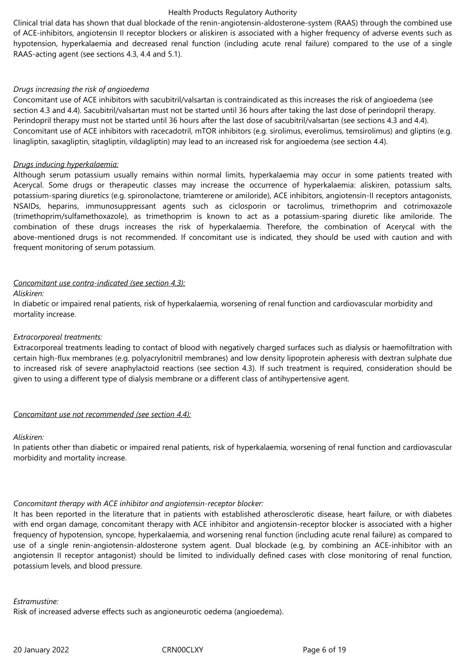Clinical trial data has shown that dual blockade of the renin-angiotensin-aldosterone-system (RAAS) through the combined use of ACE-inhibitors, angiotensin II receptor blockers or aliskiren is associated with a higher frequency of adverse events such as hypotension, hyperkalaemia and decreased renal function (including acute renal failure) compared to the use of a single RAAS-acting agent (see sections 4.3, 4.4 and 5.1).

#### *Drugs increasing the risk of angioedema*

Concomitant use of ACE inhibitors with sacubitril/valsartan is contraindicated as this increases the risk of angioedema (see section 4.3 and 4.4). Sacubitril/valsartan must not be started until 36 hours after taking the last dose of perindopril therapy. Perindopril therapy must not be started until 36 hours after the last dose of sacubitril/valsartan (see sections 4.3 and 4.4). Concomitant use of ACE inhibitors with racecadotril, mTOR inhibitors (e.g. sirolimus, everolimus, temsirolimus) and gliptins (e.g. linagliptin, saxagliptin, sitagliptin, vildagliptin) may lead to an increased risk for angioedema (see section 4.4).

#### *Drugs inducing hyperkalaemia:*

Although serum potassium usually remains within normal limits, hyperkalaemia may occur in some patients treated with Acerycal. Some drugs or therapeutic classes may increase the occurrence of hyperkalaemia: aliskiren, potassium salts, potassium-sparing diuretics (e.g. spironolactone, triamterene or amiloride), ACE inhibitors, angiotensin-II receptors antagonists, NSAIDs, heparins, immunosuppressant agents such as ciclosporin or tacrolimus, trimethoprim and cotrimoxazole (trimethoprim/sulfamethoxazole), as trimethoprim is known to act as a potassium-sparing diuretic like amiloride. The combination of these drugs increases the risk of hyperkalaemia. Therefore, the combination of Acerycal with the above-mentioned drugs is not recommended. If concomitant use is indicated, they should be used with caution and with frequent monitoring of serum potassium.

#### *Concomitant use contra-indicated (see section 4.3):*

#### *Aliskiren:*

In diabetic or impaired renal patients, risk of hyperkalaemia, worsening of renal function and cardiovascular morbidity and mortality increase.

#### *Extracorporeal treatments:*

Extracorporeal treatments leading to contact of blood with negatively charged surfaces such as dialysis or haemofiltration with certain high-flux membranes (e.g. polyacrylonitril membranes) and low density lipoprotein apheresis with dextran sulphate due to increased risk of severe anaphylactoid reactions (see section 4.3). If such treatment is required, consideration should be given to using a different type of dialysis membrane or a different class of antihypertensive agent.

#### *Concomitant use not recommended (see section 4.4):*

#### *Aliskiren:*

In patients other than diabetic or impaired renal patients, risk of hyperkalaemia, worsening of renal function and cardiovascular morbidity and mortality increase.

# *Concomitant therapy with ACE inhibitor and angiotensin-receptor blocker:*

It has been reported in the literature that in patients with established atherosclerotic disease, heart failure, or with diabetes with end organ damage, concomitant therapy with ACE inhibitor and angiotensin-receptor blocker is associated with a higher frequency of hypotension, syncope, hyperkalaemia, and worsening renal function (including acute renal failure) as compared to use of a single renin-angiotensin-aldosterone system agent. Dual blockade (e.g, by combining an ACE-inhibitor with an angiotensin II receptor antagonist) should be limited to individually defined cases with close monitoring of renal function, potassium levels, and blood pressure.

*Estramustine:*

Risk of increased adverse effects such as angioneurotic oedema (angioedema).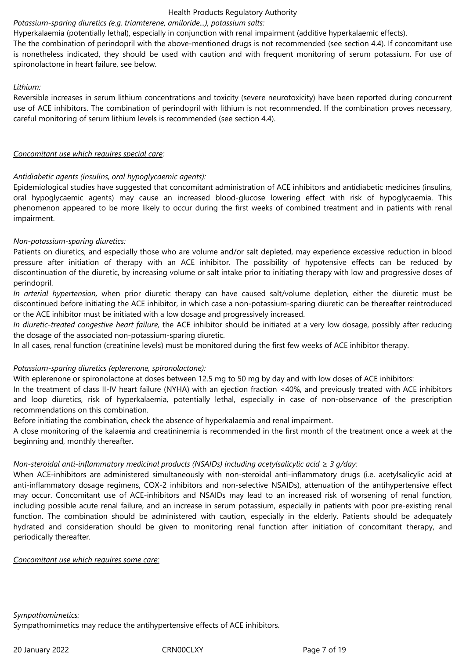# *Potassium-sparing diuretics (e.g. triamterene, amiloride...), potassium salts:*

Hyperkalaemia (potentially lethal), especially in conjunction with renal impairment (additive hyperkalaemic effects).

The the combination of perindopril with the above-mentioned drugs is not recommended (see section 4.4). If concomitant use is nonetheless indicated, they should be used with caution and with frequent monitoring of serum potassium. For use of spironolactone in heart failure, see below.

#### *Lithium:*

Reversible increases in serum lithium concentrations and toxicity (severe neurotoxicity) have been reported during concurrent use of ACE inhibitors. The combination of perindopril with lithium is not recommended. If the combination proves necessary, careful monitoring of serum lithium levels is recommended (see section 4.4).

#### *Concomitant use which requires special care:*

# *Antidiabetic agents (insulins, oral hypoglycaemic agents):*

Epidemiological studies have suggested that concomitant administration of ACE inhibitors and antidiabetic medicines (insulins, oral hypoglycaemic agents) may cause an increased blood-glucose lowering effect with risk of hypoglycaemia. This phenomenon appeared to be more likely to occur during the first weeks of combined treatment and in patients with renal impairment.

# *Non-potassium-sparing diuretics:*

Patients on diuretics, and especially those who are volume and/or salt depleted, may experience excessive reduction in blood pressure after initiation of therapy with an ACE inhibitor. The possibility of hypotensive effects can be reduced by discontinuation of the diuretic, by increasing volume or salt intake prior to initiating therapy with low and progressive doses of perindopril.

*In arterial hypertension,* when prior diuretic therapy can have caused salt/volume depletion, either the diuretic must be discontinued before initiating the ACE inhibitor, in which case a non-potassium-sparing diuretic can be thereafter reintroduced or the ACE inhibitor must be initiated with a low dosage and progressively increased.

*In diuretic-treated congestive heart failure,* the ACE inhibitor should be initiated at a very low dosage, possibly after reducing the dosage of the associated non-potassium-sparing diuretic.

In all cases, renal function (creatinine levels) must be monitored during the first few weeks of ACE inhibitor therapy.

# *Potassium-sparing diuretics (eplerenone, spironolactone):*

With eplerenone or spironolactone at doses between 12.5 mg to 50 mg by day and with low doses of ACE inhibitors:

In the treatment of class II-IV heart failure (NYHA) with an ejection fraction <40%, and previously treated with ACE inhibitors and loop diuretics, risk of hyperkalaemia, potentially lethal, especially in case of non-observance of the prescription recommendations on this combination.

Before initiating the combination, check the absence of hyperkalaemia and renal impairment.

A close monitoring of the kalaemia and creatininemia is recommended in the first month of the treatment once a week at the beginning and, monthly thereafter.

# *Non-steroidal anti-inflammatory medicinal products (NSAIDs) including acetylsalicylic acid ≥ 3 g/day:*

When ACE-inhibitors are administered simultaneously with non-steroidal anti-inflammatory drugs (i.e. acetylsalicylic acid at anti-inflammatory dosage regimens, COX-2 inhibitors and non-selective NSAIDs), attenuation of the antihypertensive effect may occur. Concomitant use of ACE-inhibitors and NSAIDs may lead to an increased risk of worsening of renal function, including possible acute renal failure, and an increase in serum potassium, especially in patients with poor pre-existing renal function. The combination should be administered with caution, especially in the elderly. Patients should be adequately hydrated and consideration should be given to monitoring renal function after initiation of concomitant therapy, and periodically thereafter.

*Concomitant use which requires some care:*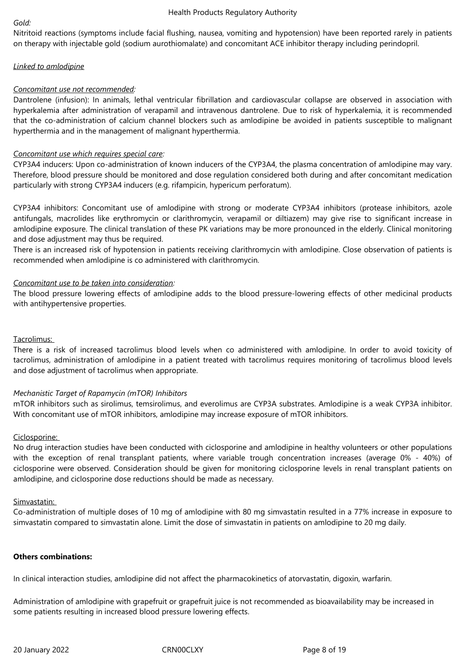#### *Gold:*

Nitritoid reactions (symptoms include facial flushing, nausea, vomiting and hypotension) have been reported rarely in patients on therapy with injectable gold (sodium aurothiomalate) and concomitant ACE inhibitor therapy including perindopril.

# *Linked to amlodipine*

# *Concomitant use not recommended:*

Dantrolene (infusion): In animals, lethal ventricular fibrillation and cardiovascular collapse are observed in association with hyperkalemia after administration of verapamil and intravenous dantrolene. Due to risk of hyperkalemia, it is recommended that the co-administration of calcium channel blockers such as amlodipine be avoided in patients susceptible to malignant hyperthermia and in the management of malignant hyperthermia.

# *Concomitant use which requires special care:*

CYP3A4 inducers: Upon co-administration of known inducers of the CYP3A4, the plasma concentration of amlodipine may vary. Therefore, blood pressure should be monitored and dose regulation considered both during and after concomitant medication particularly with strong CYP3A4 inducers (e.g. rifampicin, hypericum perforatum).

CYP3A4 inhibitors: Concomitant use of amlodipine with strong or moderate CYP3A4 inhibitors (protease inhibitors, azole antifungals, macrolides like erythromycin or clarithromycin, verapamil or diltiazem) may give rise to significant increase in amlodipine exposure. The clinical translation of these PK variations may be more pronounced in the elderly. Clinical monitoring and dose adjustment may thus be required.

There is an increased risk of hypotension in patients receiving clarithromycin with amlodipine. Close observation of patients is recommended when amlodipine is co administered with clarithromycin.

# *Concomitant use to be taken into consideration:*

The blood pressure lowering effects of amlodipine adds to the blood pressure-lowering effects of other medicinal products with antihypertensive properties.

# Tacrolimus:

There is a risk of increased tacrolimus blood levels when co administered with amlodipine. In order to avoid toxicity of tacrolimus, administration of amlodipine in a patient treated with tacrolimus requires monitoring of tacrolimus blood levels and dose adjustment of tacrolimus when appropriate.

#### *Mechanistic Target of Rapamycin (mTOR) Inhibitors*

mTOR inhibitors such as sirolimus, temsirolimus, and everolimus are CYP3A substrates. Amlodipine is a weak CYP3A inhibitor. With concomitant use of mTOR inhibitors, amlodipine may increase exposure of mTOR inhibitors.

#### Ciclosporine:

No drug interaction studies have been conducted with ciclosporine and amlodipine in healthy volunteers or other populations with the exception of renal transplant patients, where variable trough concentration increases (average 0% - 40%) of ciclosporine were observed. Consideration should be given for monitoring ciclosporine levels in renal transplant patients on amlodipine, and ciclosporine dose reductions should be made as necessary.

#### Simvastatin:

Co-administration of multiple doses of 10 mg of amlodipine with 80 mg simvastatin resulted in a 77% increase in exposure to simvastatin compared to simvastatin alone. Limit the dose of simvastatin in patients on amlodipine to 20 mg daily.

#### **Others combinations:**

In clinical interaction studies, amlodipine did not affect the pharmacokinetics of atorvastatin, digoxin, warfarin.

Administration of amlodipine with grapefruit or grapefruit juice is not recommended as bioavailability may be increased in some patients resulting in increased blood pressure lowering effects.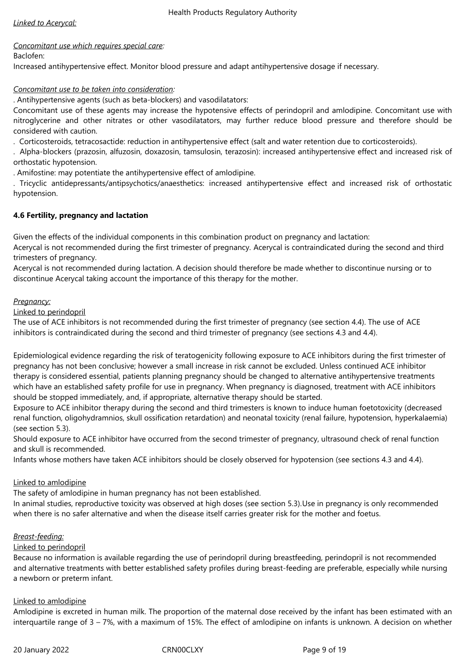# *Concomitant use which requires special care:*

Baclofen:

Increased antihypertensive effect. Monitor blood pressure and adapt antihypertensive dosage if necessary.

# *Concomitant use to be taken into consideration:*

. Antihypertensive agents (such as beta-blockers) and vasodilatators:

Concomitant use of these agents may increase the hypotensive effects of perindopril and amlodipine. Concomitant use with nitroglycerine and other nitrates or other vasodilatators, may further reduce blood pressure and therefore should be considered with caution.

. Corticosteroids, tetracosactide: reduction in antihypertensive effect (salt and water retention due to corticosteroids).

. Alpha-blockers (prazosin, alfuzosin, doxazosin, tamsulosin, terazosin): increased antihypertensive effect and increased risk of orthostatic hypotension.

. Amifostine: may potentiate the antihypertensive effect of amlodipine.

. Tricyclic antidepressants/antipsychotics/anaesthetics: increased antihypertensive effect and increased risk of orthostatic hypotension.

# **4.6 Fertility, pregnancy and lactation**

Given the effects of the individual components in this combination product on pregnancy and lactation:

Acerycal is not recommended during the first trimester of pregnancy. Acerycal is contraindicated during the second and third trimesters of pregnancy.

Acerycal is not recommended during lactation. A decision should therefore be made whether to discontinue nursing or to discontinue Acerycal taking account the importance of this therapy for the mother.

# *Pregnancy:*

Linked to perindopril

The use of ACE inhibitors is not recommended during the first trimester of pregnancy (see section 4.4). The use of ACE inhibitors is contraindicated during the second and third trimester of pregnancy (see sections 4.3 and 4.4).

Epidemiological evidence regarding the risk of teratogenicity following exposure to ACE inhibitors during the first trimester of pregnancy has not been conclusive; however a small increase in risk cannot be excluded. Unless continued ACE inhibitor therapy is considered essential, patients planning pregnancy should be changed to alternative antihypertensive treatments which have an established safety profile for use in pregnancy. When pregnancy is diagnosed, treatment with ACE inhibitors should be stopped immediately, and, if appropriate, alternative therapy should be started.

Exposure to ACE inhibitor therapy during the second and third trimesters is known to induce human foetotoxicity (decreased renal function, oligohydramnios, skull ossification retardation) and neonatal toxicity (renal failure, hypotension, hyperkalaemia) (see section 5.3).

Should exposure to ACE inhibitor have occurred from the second trimester of pregnancy, ultrasound check of renal function and skull is recommended.

Infants whose mothers have taken ACE inhibitors should be closely observed for hypotension (see sections 4.3 and 4.4).

# Linked to amlodipine

The safety of amlodipine in human pregnancy has not been established.

In animal studies, reproductive toxicity was observed at high doses (see section 5.3).Use in pregnancy is only recommended when there is no safer alternative and when the disease itself carries greater risk for the mother and foetus.

# *Breast-feeding:*

# Linked to perindopril

Because no information is available regarding the use of perindopril during breastfeeding, perindopril is not recommended and alternative treatments with better established safety profiles during breast-feeding are preferable, especially while nursing a newborn or preterm infant.

# Linked to amlodipine

Amlodipine is excreted in human milk. The proportion of the maternal dose received by the infant has been estimated with an interquartile range of 3 – 7%, with a maximum of 15%. The effect of amlodipine on infants is unknown. A decision on whether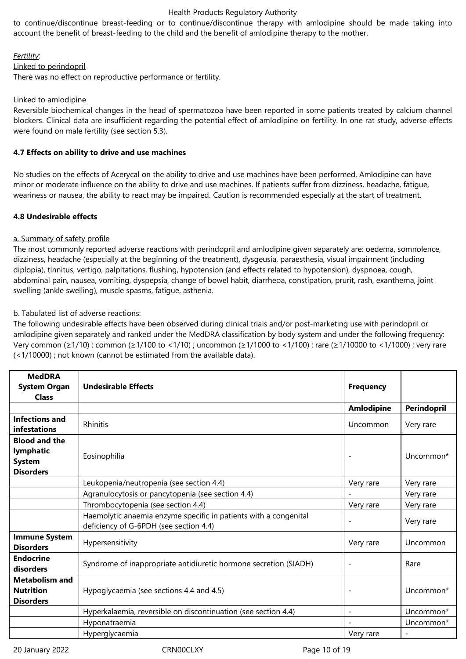to continue/discontinue breast-feeding or to continue/discontinue therapy with amlodipine should be made taking into account the benefit of breast-feeding to the child and the benefit of amlodipine therapy to the mother.

#### *Fertility*:

# Linked to perindopril

There was no effect on reproductive performance or fertility.

# Linked to amlodipine

Reversible biochemical changes in the head of spermatozoa have been reported in some patients treated by calcium channel blockers. Clinical data are insufficient regarding the potential effect of amlodipine on fertility. In one rat study, adverse effects were found on male fertility (see section 5.3).

# **4.7 Effects on ability to drive and use machines**

No studies on the effects of Acerycal on the ability to drive and use machines have been performed. Amlodipine can have minor or moderate influence on the ability to drive and use machines. If patients suffer from dizziness, headache, fatigue, weariness or nausea, the ability to react may be impaired. Caution is recommended especially at the start of treatment.

# **4.8 Undesirable effects**

# a. Summary of safety profile

The most commonly reported adverse reactions with perindopril and amlodipine given separately are: oedema, somnolence, dizziness, headache (especially at the beginning of the treatment), dysgeusia, paraesthesia, visual impairment (including diplopia), tinnitus, vertigo, palpitations, flushing, hypotension (and effects related to hypotension), dyspnoea, cough, abdominal pain, nausea, vomiting, dyspepsia, change of bowel habit, diarrheoa, constipation, prurit, rash, exanthema, joint swelling (ankle swelling), muscle spasms, fatigue, asthenia.

# b. Tabulated list of adverse reactions:

The following undesirable effects have been observed during clinical trials and/or post-marketing use with perindopril or amlodipine given separately and ranked under the MedDRA classification by body system and under the following frequency: Very common (≥1/10) ; common (≥1/100 to <1/10) ; uncommon (≥1/1000 to <1/100) ; rare (≥1/10000 to <1/1000) ; very rare (<1/10000) ; not known (cannot be estimated from the available data).

| <b>MedDRA</b><br><b>System Organ</b><br><b>Class</b>                   | <b>Undesirable Effects</b>                                                                                 | <b>Frequency</b>  |                    |
|------------------------------------------------------------------------|------------------------------------------------------------------------------------------------------------|-------------------|--------------------|
|                                                                        |                                                                                                            | <b>Amlodipine</b> | <b>Perindopril</b> |
| <b>Infections and</b><br>infestations                                  | Rhinitis                                                                                                   | Uncommon          | Very rare          |
| <b>Blood and the</b><br>lymphatic<br><b>System</b><br><b>Disorders</b> | Eosinophilia                                                                                               |                   | Uncommon*          |
|                                                                        | Leukopenia/neutropenia (see section 4.4)                                                                   | Very rare         | Very rare          |
|                                                                        | Agranulocytosis or pancytopenia (see section 4.4)                                                          |                   | Very rare          |
|                                                                        | Thrombocytopenia (see section 4.4)                                                                         | Very rare         | Very rare          |
|                                                                        | Haemolytic anaemia enzyme specific in patients with a congenital<br>deficiency of G-6PDH (see section 4.4) |                   | Very rare          |
| <b>Immune System</b><br><b>Disorders</b>                               | Hypersensitivity                                                                                           | Very rare         | Uncommon           |
| <b>Endocrine</b><br>disorders                                          | Syndrome of inappropriate antidiuretic hormone secretion (SIADH)                                           |                   | Rare               |
| <b>Metabolism and</b><br><b>Nutrition</b><br><b>Disorders</b>          | Hypoglycaemia (see sections 4.4 and 4.5)                                                                   |                   | Uncommon*          |
|                                                                        | Hyperkalaemia, reversible on discontinuation (see section 4.4)                                             |                   | Uncommon*          |
|                                                                        | Hyponatraemia                                                                                              |                   | Uncommon*          |
|                                                                        | Hyperglycaemia                                                                                             | Very rare         |                    |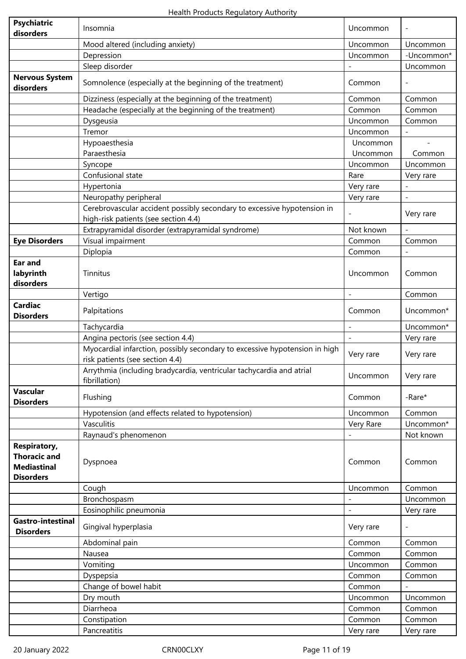| <b>Psychiatric</b><br>disorders                                                      | Insomnia                                                                                                        | Uncommon         |                          |
|--------------------------------------------------------------------------------------|-----------------------------------------------------------------------------------------------------------------|------------------|--------------------------|
|                                                                                      | Mood altered (including anxiety)                                                                                | Uncommon         | Uncommon                 |
|                                                                                      | Depression                                                                                                      | Uncommon         | -Uncommon*               |
|                                                                                      | Sleep disorder                                                                                                  |                  | Uncommon                 |
| <b>Nervous System</b><br>disorders                                                   | Somnolence (especially at the beginning of the treatment)                                                       | Common           |                          |
|                                                                                      | Dizziness (especially at the beginning of the treatment)                                                        | Common           | Common                   |
|                                                                                      | Headache (especially at the beginning of the treatment)                                                         | Common           | Common                   |
|                                                                                      | Dysgeusia                                                                                                       | Uncommon         | Common                   |
|                                                                                      | Tremor                                                                                                          | Uncommon         |                          |
|                                                                                      | Hypoaesthesia                                                                                                   | Uncommon         |                          |
|                                                                                      | Paraesthesia                                                                                                    | Uncommon         | Common                   |
|                                                                                      | Syncope                                                                                                         | Uncommon         | Uncommon                 |
|                                                                                      | Confusional state                                                                                               | Rare             | Very rare                |
|                                                                                      | Hypertonia                                                                                                      | Very rare        |                          |
|                                                                                      | Neuropathy peripheral                                                                                           | Very rare        | $\overline{\phantom{a}}$ |
|                                                                                      | Cerebrovascular accident possibly secondary to excessive hypotension in<br>high-risk patients (see section 4.4) |                  | Very rare                |
|                                                                                      | Extrapyramidal disorder (extrapyramidal syndrome)                                                               | Not known        |                          |
| <b>Eye Disorders</b>                                                                 | Visual impairment                                                                                               | Common           | Common                   |
|                                                                                      | Diplopia                                                                                                        | Common           |                          |
| Ear and<br>labyrinth<br>disorders                                                    | Tinnitus                                                                                                        | Uncommon         | Common                   |
|                                                                                      | Vertigo                                                                                                         |                  | Common                   |
| <b>Cardiac</b><br><b>Disorders</b>                                                   | Palpitations                                                                                                    | Common           | Uncommon*                |
|                                                                                      | Tachycardia                                                                                                     |                  | Uncommon*                |
|                                                                                      | Angina pectoris (see section 4.4)                                                                               | $\blacksquare$   | Very rare                |
|                                                                                      | Myocardial infarction, possibly secondary to excessive hypotension in high<br>risk patients (see section 4.4)   | Very rare        | Very rare                |
|                                                                                      | Arrythmia (including bradycardia, ventricular tachycardia and atrial<br>fibrillation)                           | Uncommon         | Very rare                |
| Vascular<br><b>Disorders</b>                                                         | Flushing                                                                                                        | Common           | -Rare*                   |
|                                                                                      | Hypotension (and effects related to hypotension)                                                                | Uncommon         | Common                   |
|                                                                                      | Vasculitis                                                                                                      | Very Rare        | Uncommon*                |
|                                                                                      | Raynaud's phenomenon                                                                                            |                  | Not known                |
| <b>Respiratory,</b><br><b>Thoracic and</b><br><b>Mediastinal</b><br><b>Disorders</b> | Dyspnoea                                                                                                        | Common           | Common                   |
|                                                                                      | Cough                                                                                                           | Uncommon         | Common                   |
|                                                                                      | Bronchospasm                                                                                                    |                  | Uncommon                 |
|                                                                                      | Eosinophilic pneumonia                                                                                          |                  | Very rare                |
| Gastro-intestinal<br><b>Disorders</b>                                                | Gingival hyperplasia                                                                                            | Very rare        |                          |
|                                                                                      | Abdominal pain                                                                                                  | Common           | Common                   |
|                                                                                      | Nausea                                                                                                          | Common           | Common                   |
|                                                                                      | Vomiting                                                                                                        | Uncommon         | Common                   |
|                                                                                      | Dyspepsia                                                                                                       | Common           | Common                   |
|                                                                                      | Change of bowel habit                                                                                           | Common           |                          |
|                                                                                      | Dry mouth                                                                                                       | Uncommon         | Uncommon                 |
|                                                                                      | Diarrheoa                                                                                                       | Common<br>Common | Common<br>Common         |
|                                                                                      | Constipation<br>Pancreatitis                                                                                    | Very rare        | Very rare                |
|                                                                                      |                                                                                                                 |                  |                          |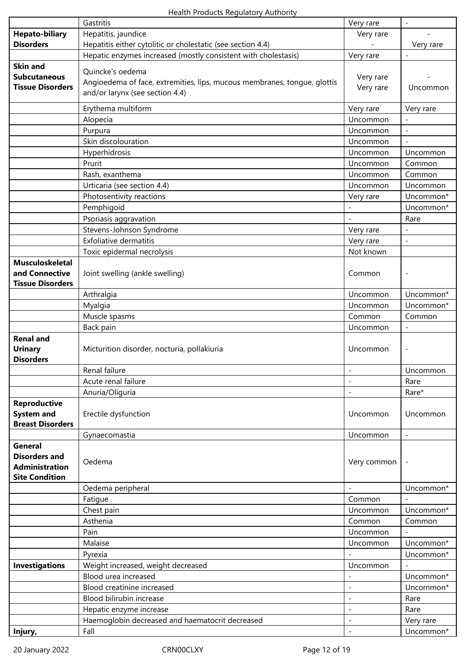|                                           | Gastritis                                                                | Very rare                | $\overline{\phantom{a}}$ |
|-------------------------------------------|--------------------------------------------------------------------------|--------------------------|--------------------------|
| <b>Hepato-biliary</b>                     | Hepatitis, jaundice                                                      | Very rare                |                          |
| <b>Disorders</b>                          | Hepatitis either cytolitic or cholestatic (see section 4.4)              |                          | Very rare                |
|                                           | Hepatic enzymes increased (mostly consistent with cholestasis)           | Very rare                |                          |
| <b>Skin and</b>                           | Quincke's oedema                                                         |                          |                          |
| <b>Subcutaneous</b>                       | Angioedema of face, extremities, lips, mucous membranes, tongue, glottis | Very rare                |                          |
| <b>Tissue Disorders</b>                   | and/or larynx (see section 4.4)                                          | Very rare                | Uncommon                 |
|                                           |                                                                          |                          |                          |
|                                           | Erythema multiform                                                       | Very rare                | Very rare                |
|                                           | Alopecia                                                                 | Uncommon                 |                          |
|                                           | Purpura                                                                  | Uncommon                 | $\overline{\phantom{a}}$ |
|                                           | Skin discolouration                                                      | Uncommon                 | $\qquad \qquad -$        |
|                                           | Hyperhidrosis                                                            | Uncommon                 | Uncommon                 |
|                                           | Prurit                                                                   | Uncommon                 | Common                   |
|                                           | Rash, exanthema                                                          | Uncommon                 | Common                   |
|                                           | Urticaria (see section 4.4)                                              | Uncommon                 | Uncommon                 |
|                                           | Photosentivity reactions                                                 | Very rare                | Uncommon*                |
|                                           | Pemphigoid                                                               | $\qquad \qquad -$        | Uncommon*                |
|                                           | Psoriasis aggravation                                                    |                          | Rare                     |
|                                           | Stevens-Johnson Syndrome                                                 | Very rare                |                          |
|                                           | <b>Exfoliative dermatitis</b>                                            | Very rare                | $\frac{1}{2}$            |
|                                           | Toxic epidermal necrolysis                                               | Not known                |                          |
| <b>Musculoskeletal</b>                    |                                                                          |                          |                          |
| and Connective<br><b>Tissue Disorders</b> | Joint swelling (ankle swelling)                                          | Common                   | $\overline{\phantom{a}}$ |
|                                           | Arthralgia                                                               |                          |                          |
|                                           | Myalgia                                                                  | Uncommon<br>Uncommon     | Uncommon*<br>Uncommon*   |
|                                           | Muscle spasms                                                            | Common                   | Common                   |
|                                           | Back pain                                                                | Uncommon                 | $\overline{\phantom{0}}$ |
| <b>Renal and</b>                          |                                                                          |                          |                          |
| <b>Urinary</b>                            | Micturition disorder, nocturia, pollakiuria                              | Uncommon                 | $\overline{\phantom{0}}$ |
| <b>Disorders</b>                          |                                                                          |                          |                          |
|                                           | Renal failure                                                            | $\overline{\phantom{a}}$ | Uncommon                 |
|                                           | Acute renal failure                                                      | $\overline{\phantom{a}}$ | Rare                     |
|                                           | Anuria/Oliguria                                                          |                          | Rare*                    |
| <b>Reproductive</b>                       |                                                                          |                          |                          |
| <b>System and</b>                         | Erectile dysfunction                                                     | Uncommon                 | Uncommon                 |
| <b>Breast Disorders</b>                   |                                                                          |                          |                          |
|                                           | Gynaecomastia                                                            | Uncommon                 | $\overline{\phantom{a}}$ |
| <b>General</b>                            |                                                                          |                          |                          |
| <b>Disorders and</b>                      | Oedema                                                                   | Very common              |                          |
| <b>Administration</b>                     |                                                                          |                          |                          |
| <b>Site Condition</b>                     |                                                                          |                          |                          |
|                                           | Oedema peripheral                                                        |                          | Uncommon*                |
|                                           | Fatigue                                                                  | Common                   |                          |
|                                           | Chest pain                                                               | Uncommon                 | Uncommon*                |
|                                           | Asthenia<br>Pain                                                         | Common                   | Common                   |
|                                           | Malaise                                                                  | Uncommon                 |                          |
|                                           |                                                                          | Uncommon                 | Uncommon*<br>Uncommon*   |
| <b>Investigations</b>                     | Pyrexia                                                                  | Uncommon                 |                          |
|                                           | Weight increased, weight decreased<br>Blood urea increased               |                          |                          |
|                                           | Blood creatinine increased                                               | $\overline{\phantom{a}}$ | Uncommon*<br>Uncommon*   |
|                                           | Blood bilirubin increase                                                 |                          | Rare                     |
|                                           | Hepatic enzyme increase                                                  | $\qquad \qquad -$        | Rare                     |
|                                           | Haemoglobin decreased and haematocrit decreased                          | $\qquad \qquad -$        | Very rare                |
| Injury,                                   | Fall                                                                     |                          | Uncommon*                |
|                                           |                                                                          |                          |                          |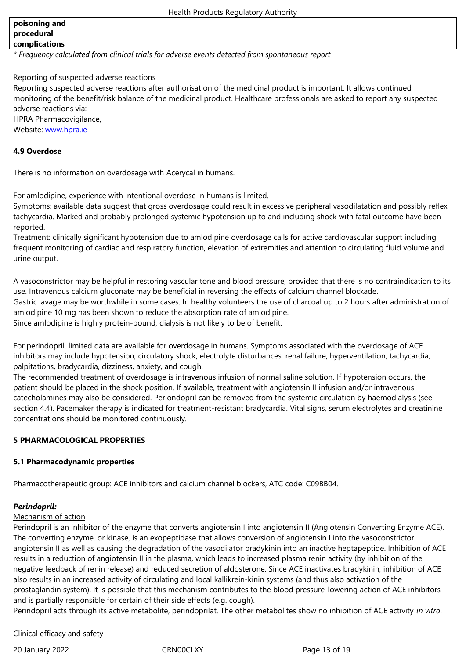| complications                                                                                   |  |  |  |  |
|-------------------------------------------------------------------------------------------------|--|--|--|--|
| * Frequency calculated from clinical trials for adverse events detected from spontaneous report |  |  |  |  |

#### Reporting of suspected adverse reactions

Reporting suspected adverse reactions after authorisation of the medicinal product is important. It allows continued monitoring of the benefit/risk balance of the medicinal product. Healthcare professionals are asked to report any suspected adverse reactions via: HPRA Pharmacovigilance,

Website: www.hpra.ie

# **4.9 Overdose**

There is [no informatio](http://www.hpra.ie/)n on overdosage with Acerycal in humans.

For amlodipine, experience with intentional overdose in humans is limited.

Symptoms: available data suggest that gross overdosage could result in excessive peripheral vasodilatation and possibly reflex tachycardia. Marked and probably prolonged systemic hypotension up to and including shock with fatal outcome have been reported.

Treatment: clinically significant hypotension due to amlodipine overdosage calls for active cardiovascular support including frequent monitoring of cardiac and respiratory function, elevation of extremities and attention to circulating fluid volume and urine output.

A vasoconstrictor may be helpful in restoring vascular tone and blood pressure, provided that there is no contraindication to its use. Intravenous calcium gluconate may be beneficial in reversing the effects of calcium channel blockade. Gastric lavage may be worthwhile in some cases. In healthy volunteers the use of charcoal up to 2 hours after administration of amlodipine 10 mg has been shown to reduce the absorption rate of amlodipine. Since amlodipine is highly protein-bound, dialysis is not likely to be of benefit.

For perindopril, limited data are available for overdosage in humans. Symptoms associated with the overdosage of ACE inhibitors may include hypotension, circulatory shock, electrolyte disturbances, renal failure, hyperventilation, tachycardia, palpitations, bradycardia, dizziness, anxiety, and cough.

The recommended treatment of overdosage is intravenous infusion of normal saline solution. If hypotension occurs, the patient should be placed in the shock position. If available, treatment with angiotensin II infusion and/or intravenous catecholamines may also be considered. Periondopril can be removed from the systemic circulation by haemodialysis (see section 4.4). Pacemaker therapy is indicated for treatment-resistant bradycardia. Vital signs, serum electrolytes and creatinine concentrations should be monitored continuously.

# **5 PHARMACOLOGICAL PROPERTIES**

#### **5.1 Pharmacodynamic properties**

Pharmacotherapeutic group: ACE inhibitors and calcium channel blockers, ATC code: C09BB04.

#### *Perindopril:*

#### Mechanism of action

Perindopril is an inhibitor of the enzyme that converts angiotensin I into angiotensin II (Angiotensin Converting Enzyme ACE). The converting enzyme, or kinase, is an exopeptidase that allows conversion of angiotensin I into the vasoconstrictor angiotensin II as well as causing the degradation of the vasodilator bradykinin into an inactive heptapeptide. Inhibition of ACE results in a reduction of angiotensin II in the plasma, which leads to increased plasma renin activity (by inhibition of the negative feedback of renin release) and reduced secretion of aldosterone. Since ACE inactivates bradykinin, inhibition of ACE also results in an increased activity of circulating and local kallikrein-kinin systems (and thus also activation of the prostaglandin system). It is possible that this mechanism contributes to the blood pressure-lowering action of ACE inhibitors and is partially responsible for certain of their side effects (e.g. cough).

Perindopril acts through its active metabolite, perindoprilat. The other metabolites show no inhibition of ACE activity *in vitro*.

Clinical efficacy and safety

20 January 2022 CRN00CLXY Page 13 of 19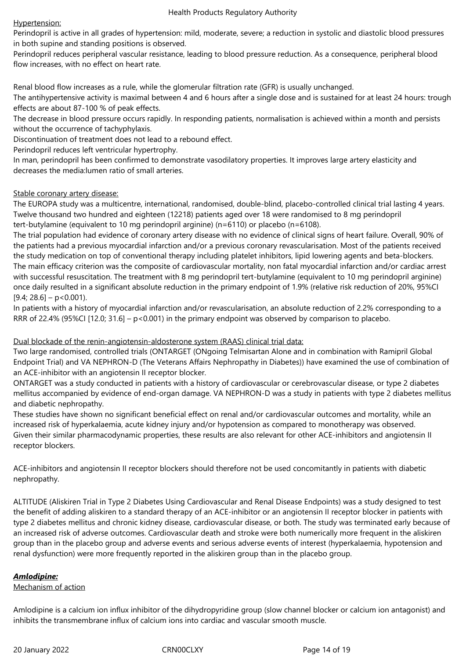#### Hypertension:

Perindopril is active in all grades of hypertension: mild, moderate, severe; a reduction in systolic and diastolic blood pressures in both supine and standing positions is observed.

Perindopril reduces peripheral vascular resistance, leading to blood pressure reduction. As a consequence, peripheral blood flow increases, with no effect on heart rate.

Renal blood flow increases as a rule, while the glomerular filtration rate (GFR) is usually unchanged.

The antihypertensive activity is maximal between 4 and 6 hours after a single dose and is sustained for at least 24 hours: trough effects are about 87-100 % of peak effects.

The decrease in blood pressure occurs rapidly. In responding patients, normalisation is achieved within a month and persists without the occurrence of tachyphylaxis.

Discontinuation of treatment does not lead to a rebound effect.

Perindopril reduces left ventricular hypertrophy.

In man, perindopril has been confirmed to demonstrate vasodilatory properties. It improves large artery elasticity and decreases the media:lumen ratio of small arteries.

# Stable coronary artery disease:

The EUROPA study was a multicentre, international, randomised, double-blind, placebo-controlled clinical trial lasting 4 years. Twelve thousand two hundred and eighteen (12218) patients aged over 18 were randomised to 8 mg perindopril tert-butylamine (equivalent to 10 mg perindopril arginine) (n=6110) or placebo (n=6108).

The trial population had evidence of coronary artery disease with no evidence of clinical signs of heart failure. Overall, 90% of the patients had a previous myocardial infarction and/or a previous coronary revascularisation. Most of the patients received the study medication on top of conventional therapy including platelet inhibitors, lipid lowering agents and beta-blockers. The main efficacy criterion was the composite of cardiovascular mortality, non fatal myocardial infarction and/or cardiac arrest with successful resuscitation. The treatment with 8 mg perindopril tert-butylamine (equivalent to 10 mg perindopril arginine) once daily resulted in a significant absolute reduction in the primary endpoint of 1.9% (relative risk reduction of 20%, 95%CI  $[9.4; 28.6] - p < 0.001$ ).

In patients with a history of myocardial infarction and/or revascularisation, an absolute reduction of 2.2% corresponding to a RRR of 22.4% (95%CI [12.0; 31.6] –  $p < 0.001$ ) in the primary endpoint was observed by comparison to placebo.

# Dual blockade of the renin-angiotensin-aldosterone system (RAAS) clinical trial data:

Two large randomised, controlled trials (ONTARGET (ONgoing Telmisartan Alone and in combination with Ramipril Global Endpoint Trial) and VA NEPHRON-D (The Veterans Affairs Nephropathy in Diabetes)) have examined the use of combination of an ACE-inhibitor with an angiotensin II receptor blocker.

ONTARGET was a study conducted in patients with a history of cardiovascular or cerebrovascular disease, or type 2 diabetes mellitus accompanied by evidence of end-organ damage. VA NEPHRON-D was a study in patients with type 2 diabetes mellitus and diabetic nephropathy.

These studies have shown no significant beneficial effect on renal and/or cardiovascular outcomes and mortality, while an increased risk of hyperkalaemia, acute kidney injury and/or hypotension as compared to monotherapy was observed. Given their similar pharmacodynamic properties, these results are also relevant for other ACE-inhibitors and angiotensin II receptor blockers.

ACE-inhibitors and angiotensin II receptor blockers should therefore not be used concomitantly in patients with diabetic nephropathy.

ALTITUDE (Aliskiren Trial in Type 2 Diabetes Using Cardiovascular and Renal Disease Endpoints) was a study designed to test the benefit of adding aliskiren to a standard therapy of an ACE-inhibitor or an angiotensin II receptor blocker in patients with type 2 diabetes mellitus and chronic kidney disease, cardiovascular disease, or both. The study was terminated early because of an increased risk of adverse outcomes. Cardiovascular death and stroke were both numerically more frequent in the aliskiren group than in the placebo group and adverse events and serious adverse events of interest (hyperkalaemia, hypotension and renal dysfunction) were more frequently reported in the aliskiren group than in the placebo group.

# *Amlodipine:*

#### Mechanism of action

Amlodipine is a calcium ion influx inhibitor of the dihydropyridine group (slow channel blocker or calcium ion antagonist) and inhibits the transmembrane influx of calcium ions into cardiac and vascular smooth muscle.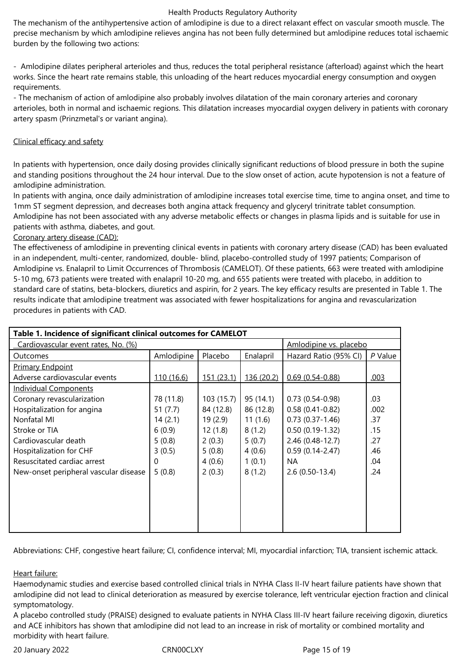The mechanism of the antihypertensive action of amlodipine is due to a direct relaxant effect on vascular smooth muscle. The precise mechanism by which amlodipine relieves angina has not been fully determined but amlodipine reduces total ischaemic burden by the following two actions:

- Amlodipine dilates peripheral arterioles and thus, reduces the total peripheral resistance (afterload) against which the heart works. Since the heart rate remains stable, this unloading of the heart reduces myocardial energy consumption and oxygen requirements.

- The mechanism of action of amlodipine also probably involves dilatation of the main coronary arteries and coronary arterioles, both in normal and ischaemic regions. This dilatation increases myocardial oxygen delivery in patients with coronary artery spasm (Prinzmetal's or variant angina).

#### Clinical efficacy and safety

In patients with hypertension, once daily dosing provides clinically significant reductions of blood pressure in both the supine and standing positions throughout the 24 hour interval. Due to the slow onset of action, acute hypotension is not a feature of amlodipine administration.

In patients with angina, once daily administration of amlodipine increases total exercise time, time to angina onset, and time to 1mm ST segment depression, and decreases both angina attack frequency and glyceryl trinitrate tablet consumption. Amlodipine has not been associated with any adverse metabolic effects or changes in plasma lipids and is suitable for use in patients with asthma, diabetes, and gout.

# Coronary artery disease (CAD):

The effectiveness of amlodipine in preventing clinical events in patients with coronary artery disease (CAD) has been evaluated in an independent, multi-center, randomized, double- blind, placebo-controlled study of 1997 patients; Comparison of Amlodipine vs. Enalapril to Limit Occurrences of Thrombosis (CAMELOT). Of these patients, 663 were treated with amlodipine 5-10 mg, 673 patients were treated with enalapril 10-20 mg, and 655 patients were treated with placebo, in addition to standard care of statins, beta-blockers, diuretics and aspirin, for 2 years. The key efficacy results are presented in Table 1. The results indicate that amlodipine treatment was associated with fewer hospitalizations for angina and revascularization procedures in patients with CAD.

| Table 1. Incidence of significant clinical outcomes for CAMELOT |            |                   |                        |                       |         |
|-----------------------------------------------------------------|------------|-------------------|------------------------|-----------------------|---------|
| Cardiovascular event rates, No. (%)                             |            |                   | Amlodipine vs. placebo |                       |         |
| <b>Outcomes</b>                                                 | Amlodipine | Placebo           | Enalapril              | Hazard Ratio (95% CI) | P Value |
| <b>Primary Endpoint</b>                                         |            |                   |                        |                       |         |
| Adverse cardiovascular events                                   | 110 (16.6) | <u>151 (23.1)</u> | 136 (20.2)             | $0.69(0.54 - 0.88)$   | .003    |
| <b>Individual Components</b>                                    |            |                   |                        |                       |         |
| Coronary revascularization                                      | 78 (11.8)  | 103(15.7)         | 95(14.1)               | $0.73(0.54-0.98)$     | .03     |
| Hospitalization for angina                                      | 51 (7.7)   | 84 (12.8)         | 86 (12.8)              | $0.58(0.41-0.82)$     | .002    |
| Nonfatal MI                                                     | 14(2.1)    | 19(2.9)           | 11(1.6)                | $0.73(0.37-1.46)$     | .37     |
| Stroke or TIA                                                   | 6(0.9)     | 12(1.8)           | 8(1.2)                 | $0.50(0.19-1.32)$     | .15     |
| Cardiovascular death                                            | 5(0.8)     | 2(0.3)            | 5(0.7)                 | 2.46 (0.48-12.7)      | .27     |
| Hospitalization for CHF                                         | 3(0.5)     | 5(0.8)            | 4(0.6)                 | $0.59(0.14 - 2.47)$   | .46     |
| Resuscitated cardiac arrest                                     | 0          | 4(0.6)            | 1(0.1)                 | ΝA                    | .04     |
| New-onset peripheral vascular disease                           | 5(0.8)     | 2(0.3)            | 8(1.2)                 | $2.6(0.50-13.4)$      | .24     |
|                                                                 |            |                   |                        |                       |         |
|                                                                 |            |                   |                        |                       |         |
|                                                                 |            |                   |                        |                       |         |
|                                                                 |            |                   |                        |                       |         |
|                                                                 |            |                   |                        |                       |         |

Abbreviations: CHF, congestive heart failure; CI, confidence interval; MI, myocardial infarction; TIA, transient ischemic attack.

# Heart failure:

Haemodynamic studies and exercise based controlled clinical trials in NYHA Class II-IV heart failure patients have shown that amlodipine did not lead to clinical deterioration as measured by exercise tolerance, left ventricular ejection fraction and clinical symptomatology.

A placebo controlled study (PRAISE) designed to evaluate patients in NYHA Class III-IV heart failure receiving digoxin, diuretics and ACE inhibitors has shown that amlodipine did not lead to an increase in risk of mortality or combined mortality and morbidity with heart failure.

20 January 2022 CRN00CLXY Page 15 of 19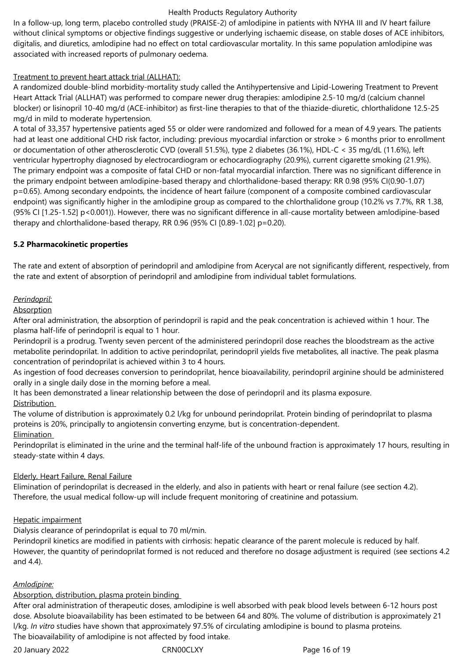digitalis, and diuretics, amlodipine had no effect on total cardiovascular mortality. In this same population amlodipine was associated with increased reports of pulmonary oedema.

# Treatment to prevent heart attack trial (ALLHAT):

A randomized double-blind morbidity-mortality study called the Antihypertensive and Lipid-Lowering Treatment to Prevent Heart Attack Trial (ALLHAT) was performed to compare newer drug therapies: amlodipine 2.5-10 mg/d (calcium channel blocker) or lisinopril 10-40 mg/d (ACE-inhibitor) as first-line therapies to that of the thiazide-diuretic, chlorthalidone 12.5-25 mg/d in mild to moderate hypertension.

A total of 33,357 hypertensive patients aged 55 or older were randomized and followed for a mean of 4.9 years. The patients had at least one additional CHD risk factor, including: previous myocardial infarction or stroke > 6 months prior to enrollment or documentation of other atherosclerotic CVD (overall 51.5%), type 2 diabetes (36.1%), HDL-C < 35 mg/dL (11.6%), left ventricular hypertrophy diagnosed by electrocardiogram or echocardiography (20.9%), current cigarette smoking (21.9%). The primary endpoint was a composite of fatal CHD or non-fatal myocardial infarction. There was no significant difference in the primary endpoint between amlodipine-based therapy and chlorthalidone-based therapy: RR 0.98 (95% CI(0.90-1.07) p=0.65). Among secondary endpoints, the incidence of heart failure (component of a composite combined cardiovascular endpoint) was significantly higher in the amlodipine group as compared to the chlorthalidone group (10.2% vs 7.7%, RR 1.38, (95% CI [1.25-1.52] p<0.001)). However, there was no significant difference in all-cause mortality between amlodipine-based therapy and chlorthalidone-based therapy, RR 0.96 (95% CI [0.89-1.02] p=0.20).

# **5.2 Pharmacokinetic properties**

The rate and extent of absorption of perindopril and amlodipine from Acerycal are not significantly different, respectively, from the rate and extent of absorption of perindopril and amlodipine from individual tablet formulations.

# *Perindopril*:

# **Absorption**

After oral administration, the absorption of perindopril is rapid and the peak concentration is achieved within 1 hour. The plasma half-life of perindopril is equal to 1 hour.

Perindopril is a prodrug. Twenty seven percent of the administered perindopril dose reaches the bloodstream as the active metabolite perindoprilat. In addition to active perindoprilat, perindopril yields five metabolites, all inactive. The peak plasma concentration of perindoprilat is achieved within 3 to 4 hours.

As ingestion of food decreases conversion to perindoprilat, hence bioavailability, perindopril arginine should be administered orally in a single daily dose in the morning before a meal.

It has been demonstrated a linear relationship between the dose of perindopril and its plasma exposure. Distribution

The volume of distribution is approximately 0.2 l/kg for unbound perindoprilat. Protein binding of perindoprilat to plasma proteins is 20%, principally to angiotensin converting enzyme, but is concentration-dependent. **Elimination** 

Perindoprilat is eliminated in the urine and the terminal half-life of the unbound fraction is approximately 17 hours, resulting in steady-state within 4 days.

# Elderly, Heart Failure, Renal Failure

Elimination of perindoprilat is decreased in the elderly, and also in patients with heart or renal failure (see section 4.2). Therefore, the usual medical follow-up will include frequent monitoring of creatinine and potassium.

# Hepatic impairment

Dialysis clearance of perindoprilat is equal to 70 ml/min.

Perindopril kinetics are modified in patients with cirrhosis: hepatic clearance of the parent molecule is reduced by half. However, the quantity of perindoprilat formed is not reduced and therefore no dosage adjustment is required (see sections 4.2 and 4.4).

#### *Amlodipine:*

# Absorption, distribution, plasma protein binding

After oral administration of therapeutic doses, amlodipine is well absorbed with peak blood levels between 6-12 hours post dose. Absolute bioavailability has been estimated to be between 64 and 80%. The volume of distribution is approximately 21 l/kg. *In vitro* studies have shown that approximately 97.5% of circulating amlodipine is bound to plasma proteins. The bioavailability of amlodipine is not affected by food intake.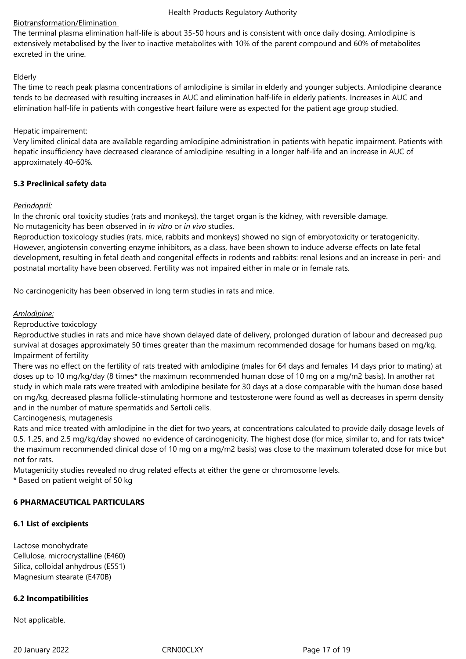# Biotransformation/Elimination

The terminal plasma elimination half-life is about 35-50 hours and is consistent with once daily dosing. Amlodipine is extensively metabolised by the liver to inactive metabolites with 10% of the parent compound and 60% of metabolites excreted in the urine.

#### Elderly

The time to reach peak plasma concentrations of amlodipine is similar in elderly and younger subjects. Amlodipine clearance tends to be decreased with resulting increases in AUC and elimination half-life in elderly patients. Increases in AUC and elimination half-life in patients with congestive heart failure were as expected for the patient age group studied.

#### Hepatic impairement:

Very limited clinical data are available regarding amlodipine administration in patients with hepatic impairment. Patients with hepatic insufficiency have decreased clearance of amlodipine resulting in a longer half-life and an increase in AUC of approximately 40-60%.

# **5.3 Preclinical safety data**

# *Perindopril:*

In the chronic oral toxicity studies (rats and monkeys), the target organ is the kidney, with reversible damage. No mutagenicity has been observed in *in vitro* or *in vivo* studies.

Reproduction toxicology studies (rats, mice, rabbits and monkeys) showed no sign of embryotoxicity or teratogenicity. However, angiotensin converting enzyme inhibitors, as a class, have been shown to induce adverse effects on late fetal development, resulting in fetal death and congenital effects in rodents and rabbits: renal lesions and an increase in peri- and postnatal mortality have been observed. Fertility was not impaired either in male or in female rats.

No carcinogenicity has been observed in long term studies in rats and mice.

# *Amlodipine:*

Reproductive toxicology

Reproductive studies in rats and mice have shown delayed date of delivery, prolonged duration of labour and decreased pup survival at dosages approximately 50 times greater than the maximum recommended dosage for humans based on mg/kg. Impairment of fertility

There was no effect on the fertility of rats treated with amlodipine (males for 64 days and females 14 days prior to mating) at doses up to 10 mg/kg/day (8 times\* the maximum recommended human dose of 10 mg on a mg/m2 basis). In another rat study in which male rats were treated with amlodipine besilate for 30 days at a dose comparable with the human dose based on mg/kg, decreased plasma follicle-stimulating hormone and testosterone were found as well as decreases in sperm density and in the number of mature spermatids and Sertoli cells.

Carcinogenesis, mutagenesis

Rats and mice treated with amlodipine in the diet for two years, at concentrations calculated to provide daily dosage levels of 0.5, 1.25, and 2.5 mg/kg/day showed no evidence of carcinogenicity. The highest dose (for mice, similar to, and for rats twice\* the maximum recommended clinical dose of 10 mg on a mg/m2 basis) was close to the maximum tolerated dose for mice but not for rats.

Mutagenicity studies revealed no drug related effects at either the gene or chromosome levels.

\* Based on patient weight of 50 kg

# **6 PHARMACEUTICAL PARTICULARS**

#### **6.1 List of excipients**

Lactose monohydrate Cellulose, microcrystalline (E460) Silica, colloidal anhydrous (E551) Magnesium stearate (E470B)

#### **6.2 Incompatibilities**

Not applicable.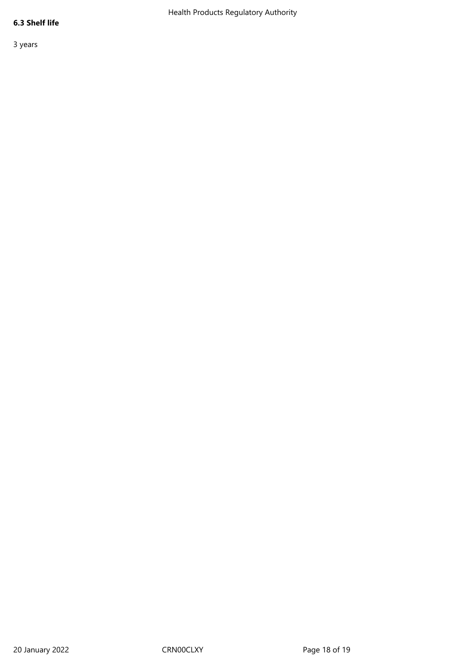# **6.3 Shelf life**

3 years